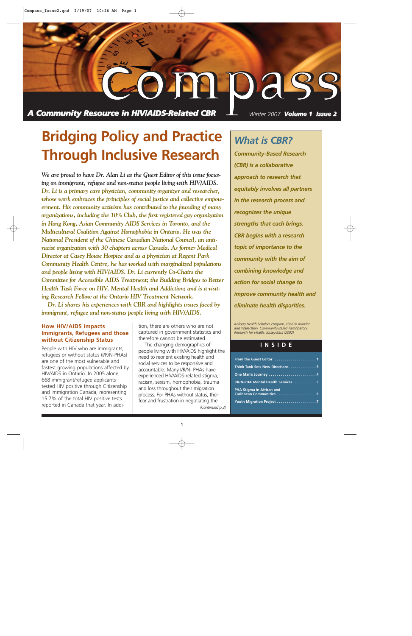

**Bridging Policy and Practice Through Inclusive Research**

*We are proud to have Dr. Alan Li as the Guest Editor of this issue focusing on immigrant, refugee and non-status people living with HIV/AIDS. Dr. Li is a primary care physician, community organizer and researcher, whose work embraces the principles of social justice and collective empowerment. His community activism has contributed to the founding of many organizations, including the 10% Club, the first registered gay organization in Hong Kong, Asian Community AIDS Services in Toronto, and the Multicultural Coalition Against Homophobia in Ontario. He was the National President of the Chinese Canadian National Council, an antiracist organization with 30 chapters across Canada. As former Medical Director at Casey House Hospice and as a physician at Regent Park Community Health Centre, he has worked with marginalized populations and people living with HIV/AIDS. Dr. Li currently Co-Chairs the Committee for Accessible AIDS Treatment; the Building Bridges to Better Health Task Force on HIV, Mental Health and Addiction; and is a visiting Research Fellow at the Ontario HIV Treatment Network.*

*Dr. Li shares his experiences with CBR and highlights issues faced by immigrant, refugee and non-status people living with HIV/AIDS.* 

### **How HIV/AIDS impacts Immigrants, Refugees and those without Citizenship Status**

People with HIV who are immigrants, refugees or without status (I/R/N-PHAs) are one of the most vulnerable and fastest growing populations affected by HIV/AIDS in Ontario. In 2005 alone, 668 immigrant/refugee applicants tested HIV positive through Citizenship and Immigration Canada, representing 15.7% of the total HIV positive tests reported in Canada that year. In addition, there are others who are not captured in government statistics and therefore cannot be estimated.

The changing demographics of people living with HIV/AIDS highlight the need to reorient existing health and social services to be responsive and accountable. Many I/R/N- PHAs have experienced HIV/AIDS-related stigma, racism, sexism, homophobia, trauma and loss throughout their migration process. For PHAs without status, their fear and frustration in negotiating the *(Continued p.2)*

### *What is CBR?*

*Community-Based Research (CBR) is a collaborative approach to research that equitably involves all partners in the research process and recognizes the unique strengths that each brings. CBR begins with a research topic of importance to the community with the aim of combining knowledge and action for social change to improve community health and eliminate health disparities.*

*Kellogg Health Scholars Program, cited in Minkler and Wallerstein, Community-Based Participatory Research for Health. Jossey-Bass (2002)*

### **INSIDE**

| From the Guest Editor 1            |
|------------------------------------|
| Think Tank Sets New Directions 3   |
| One Man's Journey 4                |
| I/R/N-PHA Mental Health Services 5 |
| PHA Stigma in African and          |
|                                    |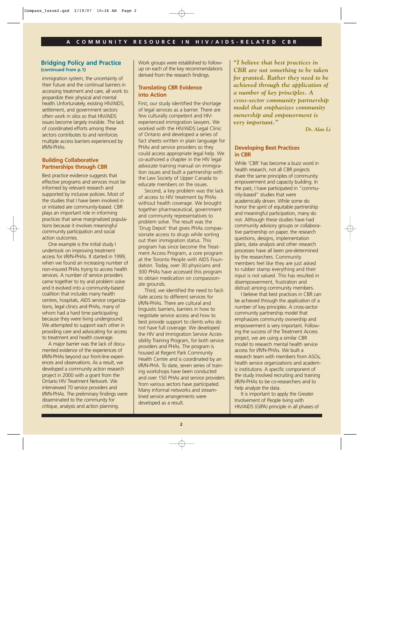### **Bridging Policy and Practice (continued from p.1)**

immigration system, the uncertainty of their future and the continual barriers in accessing treatment and care, all work to jeopardize their physical and mental health.Unfortunately, existing HIV/AIDS, settlement, and government sectors often work in silos so that HIV/AIDS issues become largely invisible. The lack of coordinated efforts among these sectors contributes to and reinforces multiple access barriers experienced by I/R/N-PHAs.

### **Building Collaborative Partnerships through CBR**

Best practice evidence suggests that effective programs and services must be informed by relevant research and supported by inclusive policies. Most of the studies that I have been involved in or initiated are community-based. CBR plays an important role in informing practices that serve marginalized populations because it involves meaningful community participation and social action outcomes.

One example is the initial study I undertook on improving treatment access for I/R/N-PHAs. It started in 1999, when we found an increasing number of non-insured PHAs trying to access health services. A number of service providers came together to try and problem solve and it evolved into a community-based coalition that includes many health centres, hospitals, AIDS service organizations, legal clinics and PHAs, many of whom had a hard time participating because they were living underground. We attempted to support each other in providing care and advocating for access to treatment and health coverage.

A major barrier was the lack of documented evidence of the experiences of I/R/N-PHAs beyond our front-line experiences and observations. As a result, we developed a community action research project in 2000 with a grant from the Ontario HIV Treatment Network. We interviewed 70 service providers and I/R/N-PHAs. The preliminary findings were disseminated to the community for critique, analysis and action planning.

Work groups were established to followup on each of the key recommendations derived from the research findings.

### **Translating CBR Evidence into Action**

First, our study identified the shortage of legal services as a barrier. There are few culturally competent and HIVexperienced immigration lawyers. We worked with the HIV/AIDS Legal Clinic of Ontario and developed a series of fact sheets written in plain language for PHAs and service providers so they could access appropriate legal help. We co-authored a chapter in the HIV legal advocate training manual on immigration issues and built a partnership with the Law Society of Upper Canada to educate members on the issues.

Second, a key problem was the lack of access to HIV treatment by PHAs without health coverage. We brought together pharmaceutical, government and community representatives to problem solve. The result was the 'Drug Depot' that gives PHAs compassionate access to drugs while sorting out their immigration status. This program has since become the Treatment Access Program, a core program at the Toronto People with AIDS Foundation. Today, over 30 physicians and 300 PHAs have accessed this program to obtain medication on compassionate grounds.

Third, we identified the need to facilitate access to different services for I/R/N-PHAs. There are cultural and linguistic barriers, barriers in how to negotiate service access and how to best provide support to clients who do not have full coverage. We developed the HIV and Immigration Service Accessibility Training Program, for both service providers and PHAs. The program is housed at Regent Park Community Health Centre and is coordinated by an I/R/N-PHA. To date, seven series of training workshops have been conducted and over 150 PHAs and service providers from various sectors have participated. Many informal networks and streamlined service arrangements were developed as a result.

*"I believe that best practices in CBR are not something to be taken for granted. Rather they need to be achieved through the application of a number of key principles. A cross-sector community partnership model that emphasizes community ownership and empowerment is very important."* 

*Dr. Alan Li*

### **Developing Best Practices in CBR**

While 'CBR' has become a buzz word in health research, not all CBR projects share the same principles of community empowerment and capacity building. In the past, I have participated in "community-based" studies that were academically driven. While some do honor the spirit of equitable partnership and meaningful participation, many do not. Although these studies have had community advisory groups or collaborative partnership on paper, the research questions, designs, implementation plans, data analysis and other research processes have all been pre-determined by the researchers. Community members feel like they are just asked to rubber stamp everything and their input is not valued. This has resulted in disempowerment, frustration and distrust among community members.

I believe that best practices in CBR can be achieved through the application of a number of key principles. A cross-sector community partnership model that emphasizes community ownership and empowerment is very important. Following the success of the Treatment Access project, we are using a similar CBR model to research mental health service access for I/R/N-PHAs. We built a research team with members from ASOs, health service organizations and academic institutions. A specific component of the study involved recruiting and training I/R/N-PHAs to be co-researchers and to help analyze the data.

It is important to apply the Greater Involvement of People living with HIV/AIDS (GIPA) principle in all phases of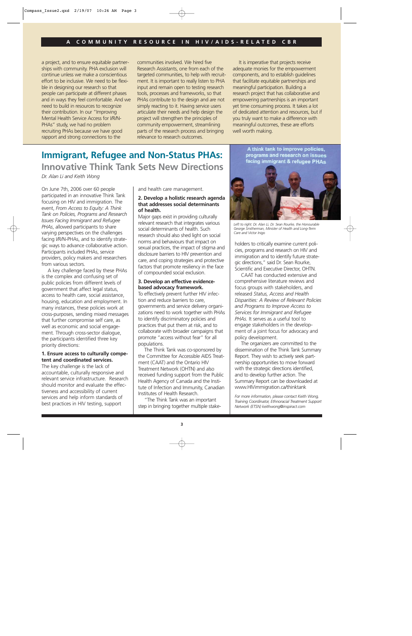a project, and to ensure equitable partnerships with community. PHA exclusion will continue unless we make a conscientious effort to be inclusive. We need to be flexible in designing our research so that people can participate at different phases and in ways they feel comfortable. And we need to build in resources to recognize their contribution. In our "Improving Mental Health Service Access for I/R/N-PHAs" study, we had no problem recruiting PHAs because we have good rapport and strong connections to the

communities involved. We hired five Research Assistants, one from each of the targeted communities, to help with recruitment. It is important to really listen to PHA input and remain open to testing research tools, processes and frameworks, so that PHAs contribute to the design and are not simply reacting to it. Having service users articulate their needs and help design the project will strengthen the principles of community empowerment, streamlining parts of the research process and bringing relevance to research outcomes.

It is imperative that projects receive adequate monies for the empowerment components, and to establish guidelines that facilitate equitable partnerships and meaningful participation. Building a research project that has collaborative and empowering partnerships is an important yet time consuming process. It takes a lot of dedicated attention and resources, but if you truly want to make a difference with meaningful outcomes, these are efforts well worth making.

### **Immigrant, Refugee and Non-Status PHAs: Innovative Think Tank Sets New Directions**

*Dr. Alan Li and Keith Wong*

On June 7th, 2006 over 60 people participated in an innovative Think Tank focusing on HIV and immigration. The event, *From Access to Equity: A Think Tank on Policies, Programs and Research Issues Facing Immigrant and Refugee PHAs*, allowed participants to share varying perspectives on the challenges facing I/R/N-PHAs, and to identify strategic ways to advance collaborative action. Participants included PHAs, service providers, policy makers and researchers from various sectors.

A key challenge faced by these PHAs is the complex and confusing set of public policies from different levels of government that affect legal status, access to health care, social assistance, housing, education and employment. In many instances, these policies work at cross-purposes, sending mixed messages that further compromise self care, as well as economic and social engagement. Through cross-sector dialogue, the participants identified three key priority directions:

### **1. Ensure access to culturally competent and coordinated services.**

The key challenge is the lack of accountable, culturally responsive and relevant service infrastructure. Research should monitor and evaluate the effectiveness and accessibility of current services and help inform standards of best practices in HIV testing, support

and health care management.

### **2. Develop a holistic research agenda that addresses social determinants of health.**

Major gaps exist in providing culturally relevant research that integrates various social determinants of health. Such research should also shed light on social norms and behaviours that impact on sexual practices, the impact of stigma and disclosure barriers to HIV prevention and care, and coping strategies and protective factors that promote resiliency in the face of compounded social exclusion.

### **3. Develop an effective evidencebased advocacy framework.**

To effectively prevent further HIV infection and reduce barriers to care, governments and service delivery organizations need to work together with PHAs to identify discriminatory policies and practices that put them at risk, and to collaborate with broader campaigns that promote "access without fear" for all populations.

The Think Tank was co-sponsored by the Committee for Accessible AIDS Treatment (CAAT) and the Ontario HIV Treatment Network (OHTN) and also received funding support from the Public Health Agency of Canada and the Institute of Infection and Immunity, Canadian Institutes of Health Research.

"The Think Tank was an important step in bringing together multiple stake-

A think tank to improve policies. programs and research on issues facing immigrant & refugee PHAs



*Left to right: Dr. Alan Li, Dr. Sean Rourke, the Honourable George Smitherman, Minister of Health and Long-Term Care and Victor Inigo*

holders to critically examine current policies, programs and research on HIV and immigration and to identify future strategic directions," said Dr. Sean Rourke, Scientific and Executive Director, OHTN.

CAAT has conducted extensive and comprehensive literature reviews and focus groups with stakeholders, and released *Status, Access and Health Disparities: A Review of Relevant Policies and Programs to Improve Access to Services for Immigrant and Refugee PHAs.* It serves as a useful tool to engage stakeholders in the development of a joint focus for advocacy and policy development.

The organizers are committed to the dissemination of the Think Tank Summary Report. They wish to actively seek partnership opportunities to move forward with the strategic directions identified, and to develop further action. The Summary Report can be downloaded at www.HIVimmigration.ca/thinktank

*For more information, please contact Keith Wong, Training Coordinator, Ethnoracial Treatment Support Network (ETSN) keithwong@inspiract.com*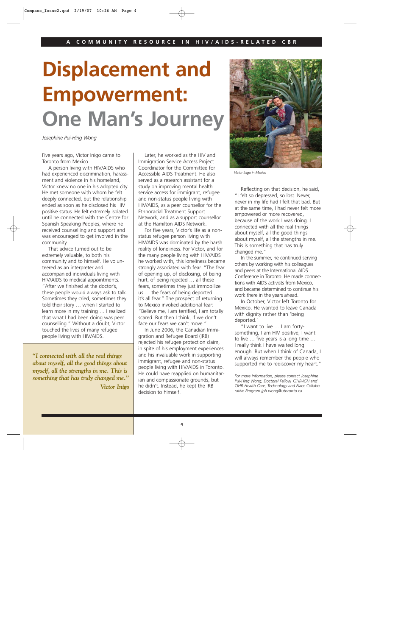# **Displacement and Empowerment: One Man's Journey**

*Josephine Pui-Hing Wong*

Five years ago, Victor Inigo came to Toronto from Mexico.

A person living with HIV/AIDS who had experienced discrimination, harassment and violence in his homeland, Victor knew no one in his adopted city. He met someone with whom he felt deeply connected, but the relationship ended as soon as he disclosed his HIV positive status. He felt extremely isolated until he connected with the Centre for Spanish Speaking Peoples, where he received counselling and support and was encouraged to get involved in the community.

That advice turned out to be extremely valuable, to both his community and to himself. He volunteered as an interpreter and accompanied individuals living with HIV/AIDS to medical appointments. "After we finished at the doctor's, these people would always ask to talk. Sometimes they cried, sometimes they told their story … when I started to learn more in my training … I realized that what I had been doing was peer counselling." Without a doubt, Victor touched the lives of many refugee people living with HIV/AIDS.

*"I connected with all the real things about myself, all the good things about myself, all the strengths in me. This is something that has truly changed me." Victor Inigo* 

Later, he worked as the HIV and Immigration Service Access Project Coordinator for the Committee for Accessible AIDS Treatment. He also served as a research assistant for a study on improving mental health service access for immigrant, refugee and non-status people living with HIV/AIDS, as a peer counsellor for the Ethnoracial Treatment Support Network, and as a support counsellor at the Hamilton AIDS Network.

For five years, Victor's life as a nonstatus refugee person living with HIV/AIDS was dominated by the harsh reality of loneliness. For Victor, and for the many people living with HIV/AIDS he worked with, this loneliness became strongly associated with fear. "The fear of opening up, of disclosing, of being hurt, of being rejected … all these fears, sometimes they just immobilize us … the fears of being deported … it's all fear." The prospect of returning to Mexico invoked additional fear: "Believe me, I am terrified, I am totally scared. But then I think, if we don't face our fears we can't move."

In June 2006, the Canadian Immigration and Refugee Board (IRB) rejected his refugee protection claim, in spite of his employment experiences and his invaluable work in supporting immigrant, refugee and non-status people living with HIV/AIDS in Toronto. He could have reapplied on humanitarian and compassionate grounds, but he didn't. Instead, he kept the IRB decision to himself.



*Victor Inigo in Mexico*

Reflecting on that decision, he said, "I felt so depressed, so lost. Never, never in my life had I felt that bad. But at the same time, I had never felt more empowered or more recovered, because of the work I was doing. I connected with all the real things about myself, all the good things about myself, all the strengths in me. This is something that has truly changed me."

In the summer, he continued serving others by working with his colleagues and peers at the International AIDS Conference in Toronto. He made connections with AIDS activists from Mexico, and became determined to continue his work there in the years ahead.

In October, Victor left Toronto for Mexico. He wanted to leave Canada with dignity rather than 'being deported.'

"I want to live … I am fortysomething, I am HIV positive, I want to live … five years is a long time … I really think I have waited long enough. But when I think of Canada, I will always remember the people who supported me to rediscover my heart."

*For more information, please contact Josephine Pui-Hing Wong, Doctoral Fellow, CIHR-IGH and CIHR-Health Care, Technology and Place Collaborative Program jph.wong@utoronto.ca*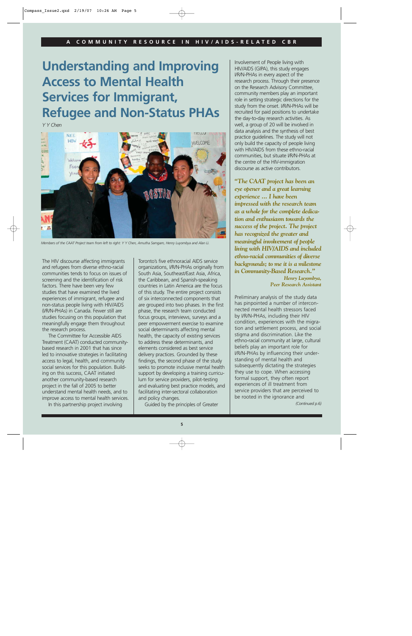## **Understanding and Improving Access to Mental Health Services for Immigrant, Refugee and Non-Status PHAs**

*Y Y Chen*



*Members of the CAAT Project team from left to right: Y Y Chen, Amutha Samgam, Henry Luyombya and Alan Li.*

The HIV discourse affecting immigrants and refugees from diverse ethno-racial communities tends to focus on issues of screening and the identification of risk factors. There have been very few studies that have examined the lived experiences of immigrant, refugee and non-status people living with HIV/AIDS (I/R/N-PHAs) in Canada. Fewer still are studies focusing on this population that meaningfully engage them throughout the research process.

The Committee for Accessible AIDS Treatment (CAAT) conducted communitybased research in 2001 that has since led to innovative strategies in facilitating access to legal, health, and community social services for this population. Building on this success, CAAT initiated another community-based research project in the fall of 2005 to better understand mental health needs, and to improve access to mental health services.

In this partnership project involving

Toronto's five ethnoracial AIDS service organizations, I/R/N-PHAs originally from South Asia, Southeast/East Asia, Africa, the Caribbean, and Spanish-speaking countries in Latin America are the focus of this study. The entire project consists of six interconnected components that are grouped into two phases. In the first phase, the research team conducted focus groups, interviews, surveys and a peer empowerment exercise to examine social determinants affecting mental health, the capacity of existing services to address these determinants, and elements considered as best service delivery practices. Grounded by these findings, the second phase of the study seeks to promote inclusive mental health support by developing a training curriculum for service providers, pilot-testing and evaluating best practice models, and facilitating inter-sectoral collaboration and policy changes.

Guided by the principles of Greater

Involvement of People living with HIV/AIDS (GIPA), this study engages I/R/N-PHAs in every aspect of the research process. Through their presence on the Research Advisory Committee, community members play an important role in setting strategic directions for the study from the onset. I/R/N-PHAs will be recruited for paid positions to undertake the day-to-day research activities. As well, a group of 20 will be involved in data analysis and the synthesis of best practice guidelines. The study will not only build the capacity of people living with HIV/AIDS from these ethno-racial communities, but situate I/R/N-PHAs at the centre of the HIV-immigration discourse as active contributors.

*"The CAAT project has been an eye opener and a great learning experience ... I have been impressed with the research team as a whole for the complete dedication and enthusiasm towards the success of the project. The project has recognized the greater and meaningful involvement of people living with HIV/AIDS and included ethno-racial communities of diverse backgrounds; to me it is a milestone in Community-Based Research."*

*Henry Luyombya, Peer Research Assistant*

Preliminary analysis of the study data has pinpointed a number of interconnected mental health stressors faced by I/R/N-PHAs, including their HIV condition, experiences with the migration and settlement process, and social stigma and discrimination. Like the ethno-racial community at large, cultural beliefs play an important role for I/R/N-PHAs by influencing their understanding of mental health and subsequently dictating the strategies they use to cope. When accessing formal support, they often report experiences of ill treatment from service providers that are perceived to be rooted in the ignorance and *(Continued p.6)*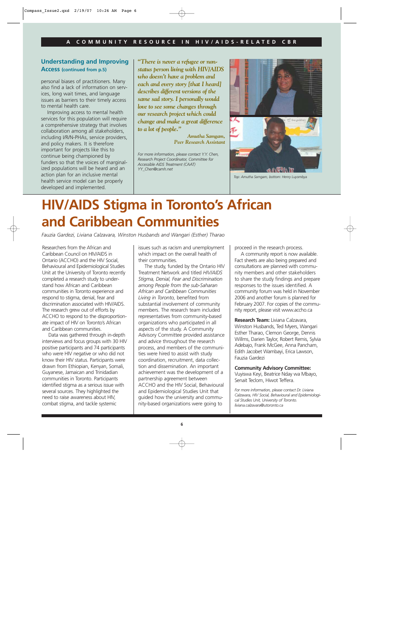### **Understanding and Improving Access (continued from p.5)**

personal biases of practitioners. Many also find a lack of information on services, long wait times, and language issues as barriers to their timely access to mental health care.

Improving access to mental health services for this population will require a comprehensive strategy that involves collaboration among all stakeholders, including I/R/N-PHAs, service providers, and policy makers. It is therefore important for projects like this to continue being championed by funders so that the voices of marginalized populations will be heard and an action plan for an inclusive mental health service model can be properly developed and implemented.

*"There is never a refugee or nonstatus person living with HIV/AIDS who doesn't have a problem and each and every story [that I heard] describes different versions of the same sad story. I personally would love to see some changes through our research project which could change and make a great difference to a lot of people."*

> *Amutha Samgam, Peer Research Assistant*

*For more information, please contact Y.Y. Chen, Research Project Coordinator, Committee for Accessible AIDS Treatment (CAAT) YY\_Chen@camh.net*



*Top: Amutha Samgam, bottom: Henry Luyombya*

# **HIV/AIDS Stigma in Toronto's African and Caribbean Communities**

*Fauzia Gardezi, Liviana Calzavara, Winston Husbands and Wangari (Esther) Tharao*

Researchers from the African and Caribbean Council on HIV/AIDS in Ontario (ACCHO) and the HIV Social, Behavioural and Epidemiological Studies Unit at the University of Toronto recently completed a research study to understand how African and Caribbean communities in Toronto experience and respond to stigma, denial, fear and discrimination associated with HIV/AIDS. The research grew out of efforts by ACCHO to respond to the disproportionate impact of HIV on Toronto's African and Caribbean communities.

Data was gathered through in-depth interviews and focus groups with 30 HIV positive participants and 74 participants who were HIV negative or who did not know their HIV status. Participants were drawn from Ethiopian, Kenyan, Somali, Guyanese, Jamaican and Trinidadian communities in Toronto. Participants identified stigma as a serious issue with several sources. They highlighted the need to raise awareness about HIV, combat stigma, and tackle systemic

issues such as racism and unemployment which impact on the overall health of their communities.

The study, funded by the Ontario HIV Treatment Network and titled *HIV/AIDS Stigma, Denial, Fear and Discrimination among People from the sub-Saharan African and Caribbean Communities Living in Toronto,* benefited from substantial involvement of community members. The research team included representatives from community-based organizations who participated in all aspects of the study. A Community Advisory Committee provided assistance and advice throughout the research process, and members of the communities were hired to assist with study coordination, recruitment, data collection and dissemination. An important achievement was the development of a partnership agreement between ACCHO and the HIV Social, Behavioural and Epidemiological Studies Unit that guided how the university and community-based organizations were going to

proceed in the research process.

A community report is now available. Fact sheets are also being prepared and consultations are planned with community members and other stakeholders to share the study findings and prepare responses to the issues identified. A community forum was held in November 2006 and another forum is planned for February 2007. For copies of the community report, please visit www.accho.ca

**Research Team:** Liviana Calzavara, Winston Husbands, Ted Myers, Wangari Esther Tharao, Clemon George, Dennis Willms, Darien Taylor, Robert Remis, Sylvia Adebajo, Frank McGee, Anna Pancham, Edith Jacobet Wambayi, Erica Lawson, Fauzia Gardezi

### **Community Advisory Committee:**

Vuyiswa Keyi, Beatrice Nday wa Mbayo, Senait Teclom, Hiwot Teffera.

*For more information, please contact Dr. Liviana Calzavara, HIV Social, Behavioural and Epidemiological Studies Unit, University of Toronto. liviana.calzavara@utoronto.ca*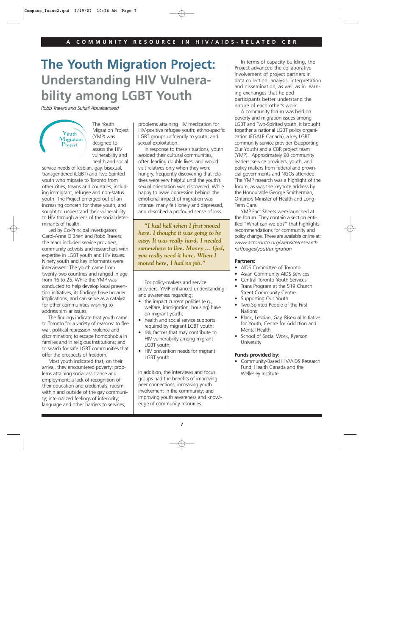## **The Youth Migration Project: Understanding HIV Vulnerability among LGBT Youth**

*Robb Travers and Suhail Abualsameed*

Youth Migration Project

The Youth Migration Project (YMP) was designed to assess the HIV vulnerability and health and social

service needs of lesbian, gay, bisexual, transgendered (LGBT) and Two-Spirited youth who migrate to Toronto from other cities, towns and countries, including immigrant, refugee and non-status youth. The Project emerged out of an increasing concern for these youth, and sought to understand their vulnerability to HIV through a lens of the social determinants of health.

Led by Co-Principal Investigators Carol-Anne O'Brien and Robb Travers, the team included service providers, community activists and researchers with expertise in LGBT youth and HIV issues. Ninety youth and key informants were interviewed. The youth came from twenty-two countries and ranged in age from 16 to 25. While the YMP was conducted to help develop local prevention initiatives, its findings have broader implications, and can serve as a catalyst for other communities wishing to address similar issues.

The findings indicate that youth came to Toronto for a variety of reasons: to flee war, political repression, violence and discrimination; to escape homophobia in families and in religious institutions; and to search for safe LGBT communities that offer the prospects of freedom.

Most youth indicated that, on their arrival, they encountered poverty; problems attaining social assistance and employment; a lack of recognition of their education and credentials; racism within and outside of the gay community; internalized feelings of inferiority; language and other barriers to services;

problems attaining HIV medication for HIV-positive refugee youth; ethno-specific LGBT groups unfriendly to youth; and sexual exploitation.

In response to these situations, youth avoided their cultural communities, often leading double lives; and would visit relatives only when they were hungry, frequently discovering that relatives were very helpful until the youth's sexual orientation was discovered. While happy to leave oppression behind, the emotional impact of migration was intense: many felt lonely and depressed, and described a profound sense of loss.

*"I had hell when I first moved here. I thought it was going to be easy. It was really hard. I needed somewhere to live. Money … God, you really need it here. When I moved here, I had no job."*

For policy-makers and service providers, YMP enhanced understanding and awareness regarding:

- the impact current policies (e.g., welfare, immigration, housing) have on migrant youth;
- health and social service supports required by migrant LGBT youth;
- risk factors that may contribute to HIV vulnerability among migrant LGBT youth;
- HIV prevention needs for migrant LGBT youth.

In addition, the interviews and focus groups had the benefits of improving peer connections; increasing youth involvement in the community; and improving youth awareness and knowledge of community resources.

In terms of capacity building, the Project advanced the collaborative involvement of project partners in data collection, analysis, interpretation and dissemination; as well as in learning exchanges that helped participants better understand the nature of each other's work.

A community forum was held on poverty and migration issues among LGBT and Two-Spirited youth. It brought together a national LGBT policy organization (EGALE Canada), a key LGBT community service provider (Supporting Our Youth) and a CBR project team (YMP). Approximately 90 community leaders, service providers, youth, and policy makers from federal and provincial governments and NGOs attended. The YMP research was a highlight of the forum, as was the keynote address by the Honourable George Smitherman, Ontario's Minister of Health and Long-Term Care.

YMP Fact Sheets were launched at the forum. They contain a section entitled "What can we do?" that highlights recommendations for community and policy change. These are available online at: *www.actoronto.org/website/research. nsf/pages/youthmigration*

### **Partners:**

- AIDS Committee of Toronto
- Asian Community AIDS Services
- Central Toronto Youth Services
- Trans Program at the 519 Church Street Community Centre
- Supporting Our Youth
- Two-Spirited People of the First **Nations**
- Black, Lesbian, Gay, Bisexual Initiative for Youth, Centre for Addiction and Mental Health
- School of Social Work, Ryerson University

### **Funds provided by:**

• Community-Based HIV/AIDS Research Fund, Health Canada and the Wellesley Institute.